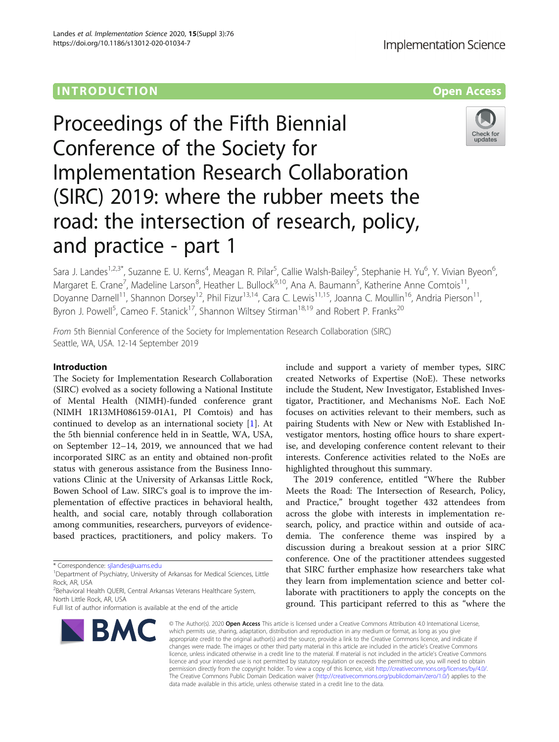## **INTRODUCTION CONSUMING THE OPEN ACCESS**

# Proceedings of the Fifth Biennial Conference of the Society for Implementation Research Collaboration (SIRC) 2019: where the rubber meets the road: the intersection of research, policy, and practice - part 1



Sara J. Landes<sup>1,2,3\*</sup>, Suzanne E. U. Kerns<sup>4</sup>, Meagan R. Pilar<sup>5</sup>, Callie Walsh-Bailey<sup>5</sup>, Stephanie H. Yu<sup>6</sup>, Y. Vivian Byeon<sup>6</sup> , Margaret E. Crane<sup>7</sup>, Madeline Larson<sup>8</sup>, Heather L. Bullock<sup>9,10</sup>, Ana A. Baumann<sup>5</sup>, Katherine Anne Comtois<sup>11</sup>, Doyanne Darnell<sup>11</sup>, Shannon Dorsey<sup>12</sup>, Phil Fizur<sup>13,14</sup>, Cara C. Lewis<sup>11,15</sup>, Joanna C. Moullin<sup>16</sup>, Andria Pierson<sup>11</sup>, Byron J. Powell<sup>5</sup>, Cameo F. Stanick<sup>17</sup>, Shannon Wiltsey Stirman<sup>18,19</sup> and Robert P. Franks<sup>20</sup>

From 5th Biennial Conference of the Society for Implementation Research Collaboration (SIRC) Seattle, WA, USA. 12-14 September 2019

## Introduction

The Society for Implementation Research Collaboration (SIRC) evolved as a society following a National Institute of Mental Health (NIMH)-funded conference grant (NIMH 1R13MH086159-01A1, PI Comtois) and has continued to develop as an international society [\[1](#page-4-0)]. At the 5th biennial conference held in in Seattle, WA, USA, on September 12–14, 2019, we announced that we had incorporated SIRC as an entity and obtained non-profit status with generous assistance from the Business Innovations Clinic at the University of Arkansas Little Rock, Bowen School of Law. SIRC's goal is to improve the implementation of effective practices in behavioral health, health, and social care, notably through collaboration among communities, researchers, purveyors of evidencebased practices, practitioners, and policy makers. To

Full list of author information is available at the end of the article



include and support a variety of member types, SIRC created Networks of Expertise (NoE). These networks include the Student, New Investigator, Established Investigator, Practitioner, and Mechanisms NoE. Each NoE focuses on activities relevant to their members, such as pairing Students with New or New with Established Investigator mentors, hosting office hours to share expertise, and developing conference content relevant to their interests. Conference activities related to the NoEs are highlighted throughout this summary.

The 2019 conference, entitled "Where the Rubber Meets the Road: The Intersection of Research, Policy, and Practice," brought together 432 attendees from across the globe with interests in implementation research, policy, and practice within and outside of academia. The conference theme was inspired by a discussion during a breakout session at a prior SIRC conference. One of the practitioner attendees suggested that SIRC further emphasize how researchers take what they learn from implementation science and better collaborate with practitioners to apply the concepts on the ground. This participant referred to this as "where the

© The Author(s), 2020 **Open Access** This article is licensed under a Creative Commons Attribution 4.0 International License, which permits use, sharing, adaptation, distribution and reproduction in any medium or format, as long as you give appropriate credit to the original author(s) and the source, provide a link to the Creative Commons licence, and indicate if changes were made. The images or other third party material in this article are included in the article's Creative Commons licence, unless indicated otherwise in a credit line to the material. If material is not included in the article's Creative Commons licence and your intended use is not permitted by statutory regulation or exceeds the permitted use, you will need to obtain permission directly from the copyright holder. To view a copy of this licence, visit [http://creativecommons.org/licenses/by/4.0/.](http://creativecommons.org/licenses/by/4.0/) The Creative Commons Public Domain Dedication waiver [\(http://creativecommons.org/publicdomain/zero/1.0/](http://creativecommons.org/publicdomain/zero/1.0/)) applies to the data made available in this article, unless otherwise stated in a credit line to the data.

<sup>\*</sup> Correspondence: [sjlandes@uams.edu](mailto:sjlandes@uams.edu) <sup>1</sup>

<sup>&</sup>lt;sup>1</sup>Department of Psychiatry, University of Arkansas for Medical Sciences, Little Rock, AR, USA

<sup>&</sup>lt;sup>2</sup> Behavioral Health QUERI, Central Arkansas Veterans Healthcare System, North Little Rock, AR, USA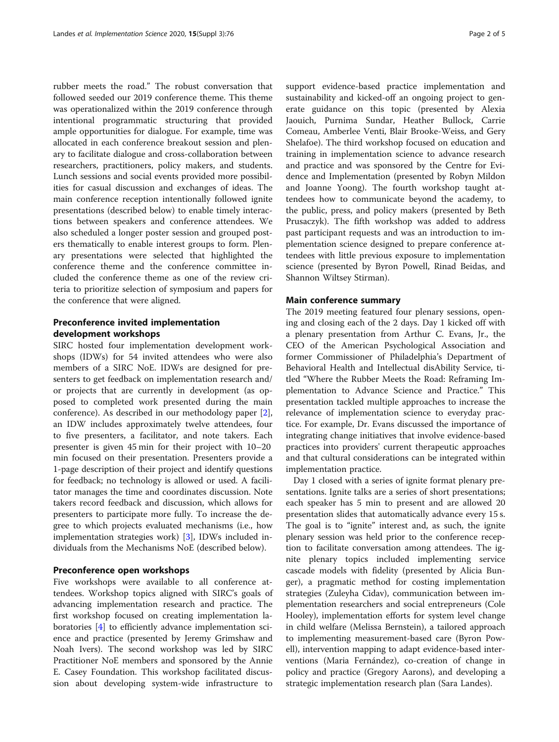rubber meets the road." The robust conversation that followed seeded our 2019 conference theme. This theme was operationalized within the 2019 conference through intentional programmatic structuring that provided ample opportunities for dialogue. For example, time was allocated in each conference breakout session and plenary to facilitate dialogue and cross-collaboration between researchers, practitioners, policy makers, and students. Lunch sessions and social events provided more possibilities for casual discussion and exchanges of ideas. The main conference reception intentionally followed ignite presentations (described below) to enable timely interactions between speakers and conference attendees. We also scheduled a longer poster session and grouped posters thematically to enable interest groups to form. Plenary presentations were selected that highlighted the conference theme and the conference committee included the conference theme as one of the review criteria to prioritize selection of symposium and papers for the conference that were aligned.

## Preconference invited implementation development workshops

SIRC hosted four implementation development workshops (IDWs) for 54 invited attendees who were also members of a SIRC NoE. IDWs are designed for presenters to get feedback on implementation research and/ or projects that are currently in development (as opposed to completed work presented during the main conference). As described in our methodology paper [\[2](#page-4-0)], an IDW includes approximately twelve attendees, four to five presenters, a facilitator, and note takers. Each presenter is given 45 min for their project with 10–20 min focused on their presentation. Presenters provide a 1-page description of their project and identify questions for feedback; no technology is allowed or used. A facilitator manages the time and coordinates discussion. Note takers record feedback and discussion, which allows for presenters to participate more fully. To increase the degree to which projects evaluated mechanisms (i.e., how implementation strategies work) [[3\]](#page-4-0), IDWs included individuals from the Mechanisms NoE (described below).

#### Preconference open workshops

Five workshops were available to all conference attendees. Workshop topics aligned with SIRC's goals of advancing implementation research and practice. The first workshop focused on creating implementation laboratories [[4](#page-4-0)] to efficiently advance implementation science and practice (presented by Jeremy Grimshaw and Noah Ivers). The second workshop was led by SIRC Practitioner NoE members and sponsored by the Annie E. Casey Foundation. This workshop facilitated discussion about developing system-wide infrastructure to support evidence-based practice implementation and sustainability and kicked-off an ongoing project to generate guidance on this topic (presented by Alexia Jaouich, Purnima Sundar, Heather Bullock, Carrie Comeau, Amberlee Venti, Blair Brooke-Weiss, and Gery Shelafoe). The third workshop focused on education and

training in implementation science to advance research and practice and was sponsored by the Centre for Evidence and Implementation (presented by Robyn Mildon and Joanne Yoong). The fourth workshop taught attendees how to communicate beyond the academy, to the public, press, and policy makers (presented by Beth Prusaczyk). The fifth workshop was added to address past participant requests and was an introduction to implementation science designed to prepare conference attendees with little previous exposure to implementation science (presented by Byron Powell, Rinad Beidas, and Shannon Wiltsey Stirman).

#### Main conference summary

The 2019 meeting featured four plenary sessions, opening and closing each of the 2 days. Day 1 kicked off with a plenary presentation from Arthur C. Evans, Jr., the CEO of the American Psychological Association and former Commissioner of Philadelphia's Department of Behavioral Health and Intellectual disAbility Service, titled "Where the Rubber Meets the Road: Reframing Implementation to Advance Science and Practice." This presentation tackled multiple approaches to increase the relevance of implementation science to everyday practice. For example, Dr. Evans discussed the importance of integrating change initiatives that involve evidence-based practices into providers' current therapeutic approaches and that cultural considerations can be integrated within implementation practice.

Day 1 closed with a series of ignite format plenary presentations. Ignite talks are a series of short presentations; each speaker has 5 min to present and are allowed 20 presentation slides that automatically advance every 15 s. The goal is to "ignite" interest and, as such, the ignite plenary session was held prior to the conference reception to facilitate conversation among attendees. The ignite plenary topics included implementing service cascade models with fidelity (presented by Alicia Bunger), a pragmatic method for costing implementation strategies (Zuleyha Cidav), communication between implementation researchers and social entrepreneurs (Cole Hooley), implementation efforts for system level change in child welfare (Melissa Bernstein), a tailored approach to implementing measurement-based care (Byron Powell), intervention mapping to adapt evidence-based interventions (Maria Fernández), co-creation of change in policy and practice (Gregory Aarons), and developing a strategic implementation research plan (Sara Landes).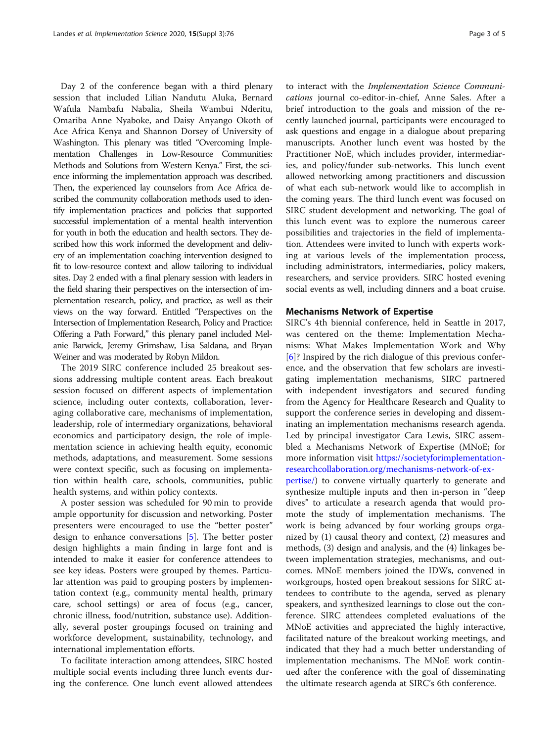Day 2 of the conference began with a third plenary session that included Lilian Nandutu Aluka, Bernard Wafula Nambafu Nabalia, Sheila Wambui Nderitu, Omariba Anne Nyaboke, and Daisy Anyango Okoth of Ace Africa Kenya and Shannon Dorsey of University of Washington. This plenary was titled "Overcoming Implementation Challenges in Low-Resource Communities: Methods and Solutions from Western Kenya." First, the science informing the implementation approach was described. Then, the experienced lay counselors from Ace Africa described the community collaboration methods used to identify implementation practices and policies that supported successful implementation of a mental health intervention for youth in both the education and health sectors. They described how this work informed the development and delivery of an implementation coaching intervention designed to fit to low-resource context and allow tailoring to individual sites. Day 2 ended with a final plenary session with leaders in the field sharing their perspectives on the intersection of implementation research, policy, and practice, as well as their views on the way forward. Entitled "Perspectives on the Intersection of Implementation Research, Policy and Practice: Offering a Path Forward," this plenary panel included Melanie Barwick, Jeremy Grimshaw, Lisa Saldana, and Bryan Weiner and was moderated by Robyn Mildon.

The 2019 SIRC conference included 25 breakout sessions addressing multiple content areas. Each breakout session focused on different aspects of implementation science, including outer contexts, collaboration, leveraging collaborative care, mechanisms of implementation, leadership, role of intermediary organizations, behavioral economics and participatory design, the role of implementation science in achieving health equity, economic methods, adaptations, and measurement. Some sessions were context specific, such as focusing on implementation within health care, schools, communities, public health systems, and within policy contexts.

A poster session was scheduled for 90 min to provide ample opportunity for discussion and networking. Poster presenters were encouraged to use the "better poster" design to enhance conversations [\[5](#page-4-0)]. The better poster design highlights a main finding in large font and is intended to make it easier for conference attendees to see key ideas. Posters were grouped by themes. Particular attention was paid to grouping posters by implementation context (e.g., community mental health, primary care, school settings) or area of focus (e.g., cancer, chronic illness, food/nutrition, substance use). Additionally, several poster groupings focused on training and workforce development, sustainability, technology, and international implementation efforts.

To facilitate interaction among attendees, SIRC hosted multiple social events including three lunch events during the conference. One lunch event allowed attendees

to interact with the Implementation Science Communications journal co-editor-in-chief, Anne Sales. After a brief introduction to the goals and mission of the recently launched journal, participants were encouraged to ask questions and engage in a dialogue about preparing manuscripts. Another lunch event was hosted by the Practitioner NoE, which includes provider, intermediaries, and policy/funder sub-networks. This lunch event allowed networking among practitioners and discussion of what each sub-network would like to accomplish in the coming years. The third lunch event was focused on SIRC student development and networking. The goal of this lunch event was to explore the numerous career possibilities and trajectories in the field of implementation. Attendees were invited to lunch with experts working at various levels of the implementation process, including administrators, intermediaries, policy makers, researchers, and service providers. SIRC hosted evening social events as well, including dinners and a boat cruise.

## Mechanisms Network of Expertise

SIRC's 4th biennial conference, held in Seattle in 2017, was centered on the theme: Implementation Mechanisms: What Makes Implementation Work and Why [[6\]](#page-4-0)? Inspired by the rich dialogue of this previous conference, and the observation that few scholars are investigating implementation mechanisms, SIRC partnered with independent investigators and secured funding from the Agency for Healthcare Research and Quality to support the conference series in developing and disseminating an implementation mechanisms research agenda. Led by principal investigator Cara Lewis, SIRC assembled a Mechanisms Network of Expertise (MNoE; for more information visit [https://societyforimplementation](https://societyforimplementationresearchcollaboration.org/mechanisms-network-of-expertise/)[researchcollaboration.org/mechanisms-network-of-ex-](https://societyforimplementationresearchcollaboration.org/mechanisms-network-of-expertise/)

[pertise/\)](https://societyforimplementationresearchcollaboration.org/mechanisms-network-of-expertise/) to convene virtually quarterly to generate and synthesize multiple inputs and then in-person in "deep dives" to articulate a research agenda that would promote the study of implementation mechanisms. The work is being advanced by four working groups organized by (1) causal theory and context, (2) measures and methods, (3) design and analysis, and the (4) linkages between implementation strategies, mechanisms, and outcomes. MNoE members joined the IDWs, convened in workgroups, hosted open breakout sessions for SIRC attendees to contribute to the agenda, served as plenary speakers, and synthesized learnings to close out the conference. SIRC attendees completed evaluations of the MNoE activities and appreciated the highly interactive, facilitated nature of the breakout working meetings, and indicated that they had a much better understanding of implementation mechanisms. The MNoE work continued after the conference with the goal of disseminating the ultimate research agenda at SIRC's 6th conference.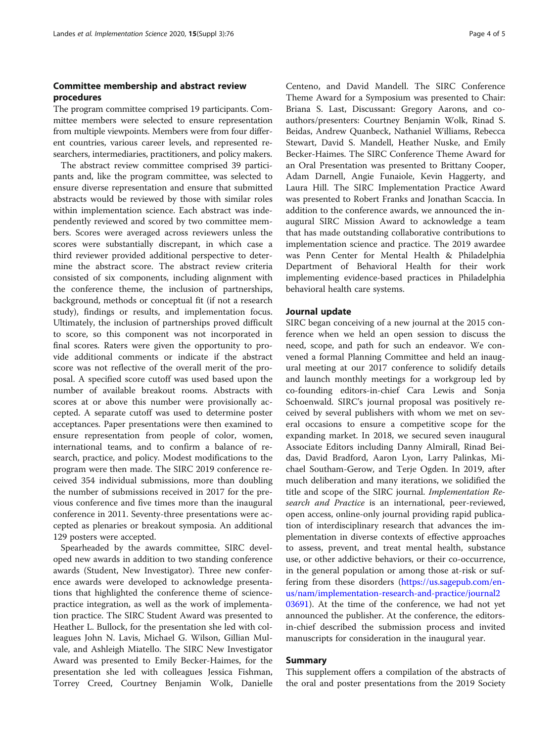## Committee membership and abstract review procedures

The program committee comprised 19 participants. Committee members were selected to ensure representation from multiple viewpoints. Members were from four different countries, various career levels, and represented researchers, intermediaries, practitioners, and policy makers.

The abstract review committee comprised 39 participants and, like the program committee, was selected to ensure diverse representation and ensure that submitted abstracts would be reviewed by those with similar roles within implementation science. Each abstract was independently reviewed and scored by two committee members. Scores were averaged across reviewers unless the scores were substantially discrepant, in which case a third reviewer provided additional perspective to determine the abstract score. The abstract review criteria consisted of six components, including alignment with the conference theme, the inclusion of partnerships, background, methods or conceptual fit (if not a research study), findings or results, and implementation focus. Ultimately, the inclusion of partnerships proved difficult to score, so this component was not incorporated in final scores. Raters were given the opportunity to provide additional comments or indicate if the abstract score was not reflective of the overall merit of the proposal. A specified score cutoff was used based upon the number of available breakout rooms. Abstracts with scores at or above this number were provisionally accepted. A separate cutoff was used to determine poster acceptances. Paper presentations were then examined to ensure representation from people of color, women, international teams, and to confirm a balance of research, practice, and policy. Modest modifications to the program were then made. The SIRC 2019 conference received 354 individual submissions, more than doubling the number of submissions received in 2017 for the previous conference and five times more than the inaugural conference in 2011. Seventy-three presentations were accepted as plenaries or breakout symposia. An additional 129 posters were accepted.

Spearheaded by the awards committee, SIRC developed new awards in addition to two standing conference awards (Student, New Investigator). Three new conference awards were developed to acknowledge presentations that highlighted the conference theme of sciencepractice integration, as well as the work of implementation practice. The SIRC Student Award was presented to Heather L. Bullock, for the presentation she led with colleagues John N. Lavis, Michael G. Wilson, Gillian Mulvale, and Ashleigh Miatello. The SIRC New Investigator Award was presented to Emily Becker-Haimes, for the presentation she led with colleagues Jessica Fishman, Torrey Creed, Courtney Benjamin Wolk, Danielle Centeno, and David Mandell. The SIRC Conference Theme Award for a Symposium was presented to Chair: Briana S. Last, Discussant: Gregory Aarons, and coauthors/presenters: Courtney Benjamin Wolk, Rinad S. Beidas, Andrew Quanbeck, Nathaniel Williams, Rebecca Stewart, David S. Mandell, Heather Nuske, and Emily Becker-Haimes. The SIRC Conference Theme Award for an Oral Presentation was presented to Brittany Cooper, Adam Darnell, Angie Funaiole, Kevin Haggerty, and Laura Hill. The SIRC Implementation Practice Award was presented to Robert Franks and Jonathan Scaccia. In addition to the conference awards, we announced the inaugural SIRC Mission Award to acknowledge a team that has made outstanding collaborative contributions to implementation science and practice. The 2019 awardee was Penn Center for Mental Health & Philadelphia Department of Behavioral Health for their work implementing evidence-based practices in Philadelphia behavioral health care systems.

## Journal update

SIRC began conceiving of a new journal at the 2015 conference when we held an open session to discuss the need, scope, and path for such an endeavor. We convened a formal Planning Committee and held an inaugural meeting at our 2017 conference to solidify details and launch monthly meetings for a workgroup led by co-founding editors-in-chief Cara Lewis and Sonja Schoenwald. SIRC's journal proposal was positively received by several publishers with whom we met on several occasions to ensure a competitive scope for the expanding market. In 2018, we secured seven inaugural Associate Editors including Danny Almirall, Rinad Beidas, David Bradford, Aaron Lyon, Larry Palinkas, Michael Southam-Gerow, and Terje Ogden. In 2019, after much deliberation and many iterations, we solidified the title and scope of the SIRC journal. Implementation Research and Practice is an international, peer-reviewed, open access, online-only journal providing rapid publication of interdisciplinary research that advances the implementation in diverse contexts of effective approaches to assess, prevent, and treat mental health, substance use, or other addictive behaviors, or their co-occurrence, in the general population or among those at-risk or suffering from these disorders ([https://us.sagepub.com/en](https://us.sagepub.com/en-us/nam/implementation-research-and-practice/journal203691)[us/nam/implementation-research-and-practice/journal2](https://us.sagepub.com/en-us/nam/implementation-research-and-practice/journal203691) [03691](https://us.sagepub.com/en-us/nam/implementation-research-and-practice/journal203691)). At the time of the conference, we had not yet announced the publisher. At the conference, the editorsin-chief described the submission process and invited manuscripts for consideration in the inaugural year.

## Summary

This supplement offers a compilation of the abstracts of the oral and poster presentations from the 2019 Society